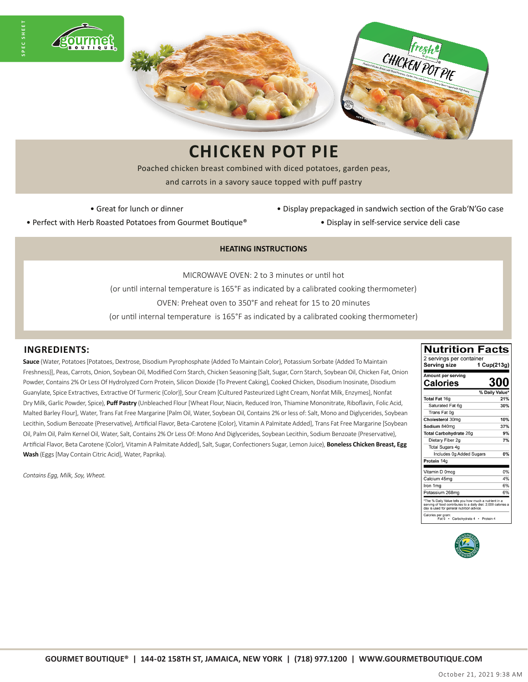

## **CHICKEN POT PIE**

Poached chicken breast combined with diced potatoes, garden peas, and carrots in a savory sauce topped with puff pastry

• Great for lunch or dinner

- Display prepackaged in sandwich section of the Grab'N'Go case
- Perfect with Herb Roasted Potatoes from Gourmet Boutique®
- Display in self-service service deli case

#### **HEATING INSTRUCTIONS**

MICROWAVE OVEN: 2 to 3 minutes or until hot (or until internal temperature is 165°F as indicated by a calibrated cooking thermometer) OVEN: Preheat oven to 350°F and reheat for 15 to 20 minutes

### (or until internal temperature is 165°F as indicated by a calibrated cooking thermometer)

### **INGREDIENTS:**

**SPEC SHEET**

**Sauce** (Water, Potatoes [Potatoes, Dextrose, Disodium Pyrophosphate {Added To Maintain Color}, Potassium Sorbate {Added To Maintain Freshness}], Peas, Carrots, Onion, Soybean Oil, Modified Corn Starch, Chicken Seasoning [Salt, Sugar, Corn Starch, Soybean Oil, Chicken Fat, Onion Powder, Contains 2% Or Less Of Hydrolyzed Corn Protein, Silicon Dioxide {To Prevent Caking}, Cooked Chicken, Disodium Inosinate, Disodium Guanylate, Spice Extractives, Extractive Of Turmeric {Color}], Sour Cream [Cultured Pasteurized Light Cream, Nonfat Milk, Enzymes], Nonfat Dry Milk, Garlic Powder, Spice), **Puff Pastry** (Unbleached Flour [Wheat Flour, Niacin, Reduced Iron, Thiamine Mononitrate, Riboflavin, Folic Acid, Malted Barley Flour], Water, Trans Fat Free Margarine [Palm Oil, Water, Soybean Oil, Contains 2% or less of: Salt, Mono and Diglycerides, Soybean Lecithin, Sodium Benzoate {Preservative}, Artificial Flavor, Beta-Carotene {Color}, Vitamin A Palmitate Added], Trans Fat Free Margarine [Soybean Oil, Palm Oil, Palm Kernel Oil, Water, Salt, Contains 2% Or Less Of: Mono And Diglycerides, Soybean Lecithin, Sodium Benzoate {Preservative}, Artificial Flavor, Beta Carotene {Color}, Vitamin A Palmitate Added], Salt, Sugar, Confectioners Sugar, Lemon Juice), **Boneless Chicken Breast, Egg Wash** (Eggs [May Contain Citric Acid], Water, Paprika).

*Contains Egg, Milk, Soy, Wheat.*

| 2 servings per container                                                                                                                                            |                |  |  |
|---------------------------------------------------------------------------------------------------------------------------------------------------------------------|----------------|--|--|
| Serving size                                                                                                                                                        | 1 Cup(213g)    |  |  |
| Amount per serving                                                                                                                                                  |                |  |  |
| Calories                                                                                                                                                            | <b>300</b>     |  |  |
|                                                                                                                                                                     | % Daily Value* |  |  |
| Total Fat 16g                                                                                                                                                       | 21%            |  |  |
| Saturated Fat 6g                                                                                                                                                    | 30%            |  |  |
| Trans Fat 0q                                                                                                                                                        |                |  |  |
| Cholesterol 30mg                                                                                                                                                    | 10%            |  |  |
| Sodium 840ma                                                                                                                                                        | 37%            |  |  |
| <b>Total Carbohydrate 26g</b>                                                                                                                                       | 9%             |  |  |
| Dietary Fiber 2g                                                                                                                                                    | 7%             |  |  |
| Total Sugars 4g                                                                                                                                                     |                |  |  |
| Includes 0g Added Sugars                                                                                                                                            | 0%             |  |  |
| Protein 14g                                                                                                                                                         |                |  |  |
|                                                                                                                                                                     |                |  |  |
| Vitamin D 0mcg                                                                                                                                                      | 0%             |  |  |
| Calcium 45mg                                                                                                                                                        | 4%             |  |  |
| Iron 1ma                                                                                                                                                            | 6%             |  |  |
| Potassium 268mg                                                                                                                                                     | 6%             |  |  |
| *The % Daily Value tells you how much a nutrient in a<br>serving of food contributes to a daily diet. 2,000 calories a<br>day is used for general nutrition advice. |                |  |  |
| Calories per gram:<br>Carbohydrate 4<br>Fat 9<br>٠                                                                                                                  | Protein 4      |  |  |

**Nutrition Facts**